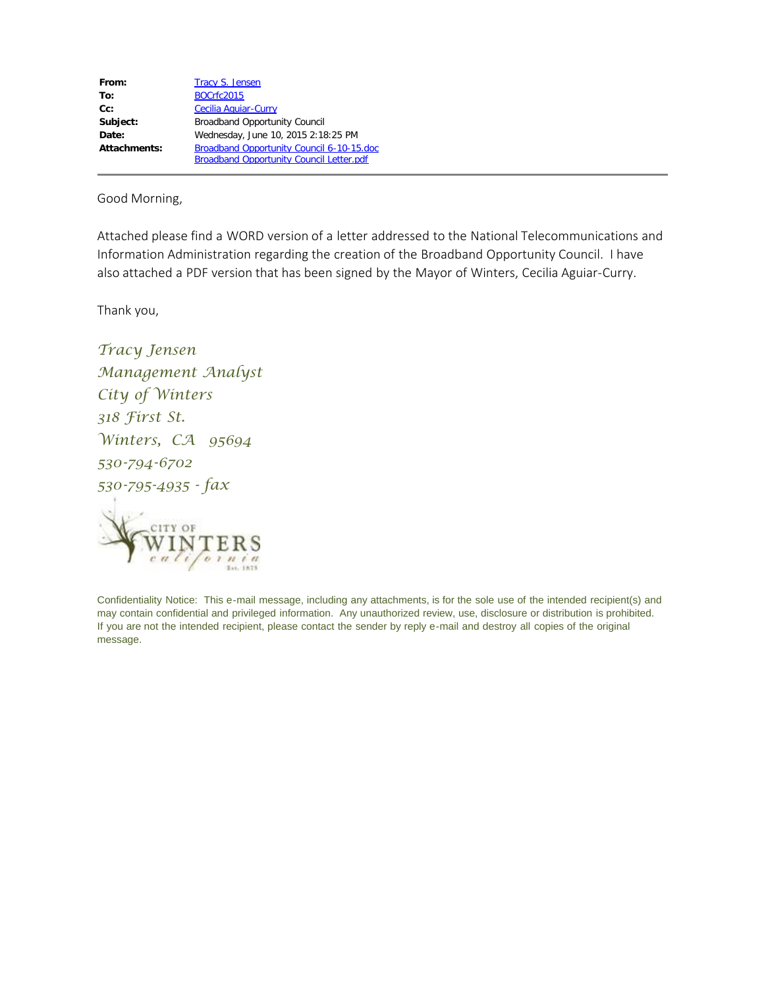| From:        | <b>Tracy S. Jensen</b>                          |
|--------------|-------------------------------------------------|
| To:          | <b>BOCrfc2015</b>                               |
| $Cc$ :       | <b>Cecilia Aguiar-Curry</b>                     |
| Subject:     | <b>Broadband Opportunity Council</b>            |
| Date:        | Wednesday, June 10, 2015 2:18:25 PM             |
| Attachments: | Broadband Opportunity Council 6-10-15.doc       |
|              | <b>Broadband Opportunity Council Letter.pdf</b> |

Good Morning,

Attached please find a WORD version of a letter addressed to the National Telecommunications and Information Administration regarding the creation of the Broadband Opportunity Council. I have also attached a PDF version that has been signed by the Mayor of Winters, Cecilia Aguiar-Curry.

Thank you,

*Tracy Jensen Management Analyst City of Winters 318 First St. Winters, CA 95694 530-794-6702 530-795-4935 - fax* CITY OF INTERS

Confidentiality Notice: This e-mail message, including any attachments, is for the sole use of the intended recipient(s) and may contain confidential and privileged information. Any unauthorized review, use, disclosure or distribution is prohibited. If you are not the intended recipient, please contact the sender by reply e-mail and destroy all copies of the original message.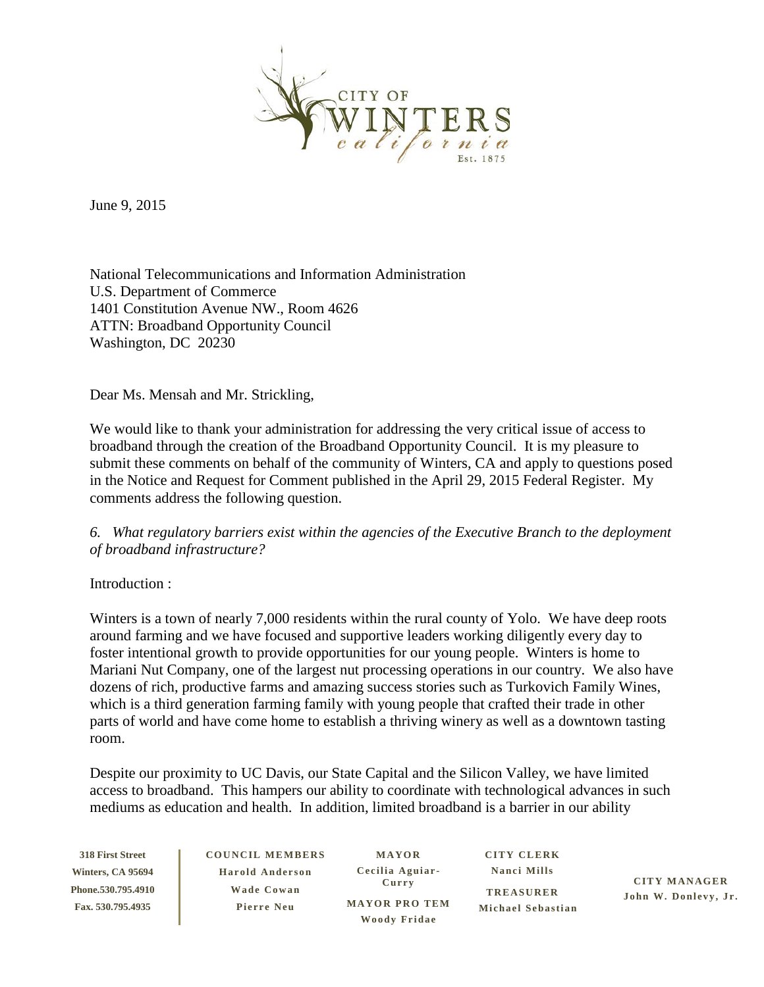

June 9, 2015

National Telecommunications and Information Administration U.S. Department of Commerce 1401 Constitution Avenue NW., Room 4626 ATTN: Broadband Opportunity Council Washington, DC 20230

Dear Ms. Mensah and Mr. Strickling,

We would like to thank your administration for addressing the very critical issue of access to broadband through the creation of the Broadband Opportunity Council. It is my pleasure to submit these comments on behalf of the community of Winters, CA and apply to questions posed in the Notice and Request for Comment published in the April 29, 2015 Federal Register. My comments address the following question.

## *6. What regulatory barriers exist within the agencies of the Executive Branch to the deployment of broadband infrastructure?*

Introduction :

Winters is a town of nearly 7,000 residents within the rural county of Yolo. We have deep roots around farming and we have focused and supportive leaders working diligently every day to foster intentional growth to provide opportunities for our young people. Winters is home to Mariani Nut Company, one of the largest nut processing operations in our country. We also have dozens of rich, productive farms and amazing success stories such as Turkovich Family Wines, which is a third generation farming family with young people that crafted their trade in other parts of world and have come home to establish a thriving winery as well as a downtown tasting room.

Despite our proximity to UC Davis, our State Capital and the Silicon Valley, we have limited access to broadband. This hampers our ability to coordinate with technological advances in such mediums as education and health. In addition, limited broadband is a barrier in our ability

**318 First Street Winters, CA 95694 Phone.530.795.4910 Fax. 530.795.4935**

**COUNCIL MEMBERS Harold Anderson Wade Cowa n Pierre Neu**

**MAYOR Cecilia Aguiar - Curry MAYOR PRO TEM Woody Fridae**

**CITY CLERK Nanci Mills TREASURER Michael Sebastian**

**CITY MANAGER John W. Donlevy, Jr.**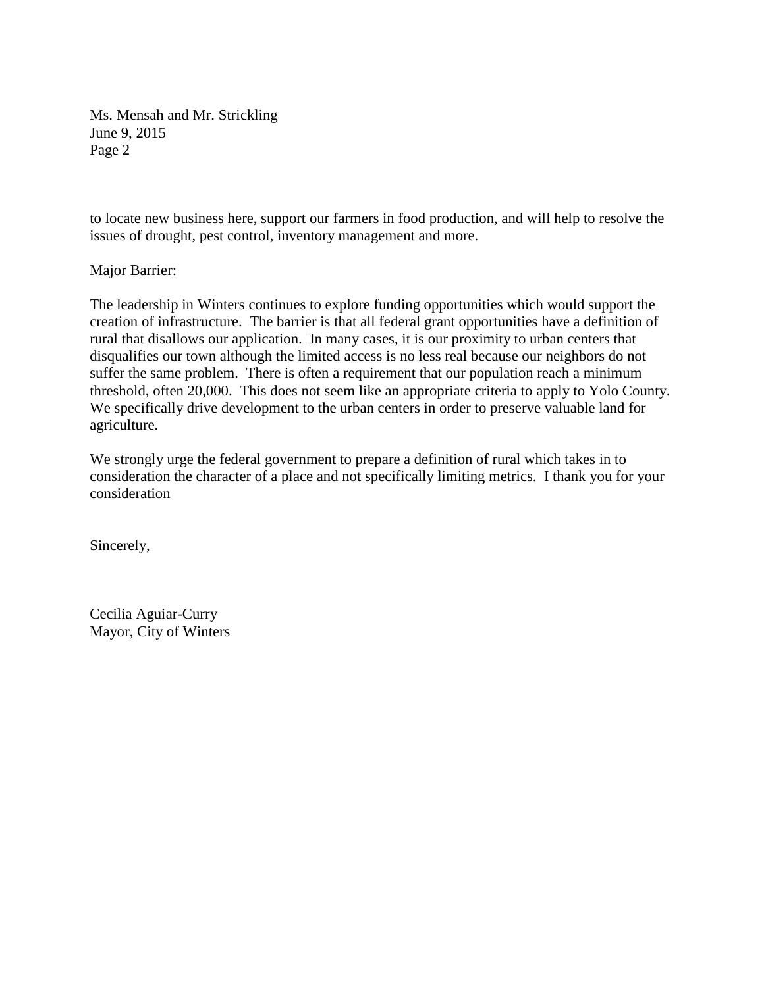Ms. Mensah and Mr. Strickling June 9, 2015 Page 2

to locate new business here, support our farmers in food production, and will help to resolve the issues of drought, pest control, inventory management and more.

Major Barrier:

The leadership in Winters continues to explore funding opportunities which would support the creation of infrastructure. The barrier is that all federal grant opportunities have a definition of rural that disallows our application. In many cases, it is our proximity to urban centers that disqualifies our town although the limited access is no less real because our neighbors do not suffer the same problem. There is often a requirement that our population reach a minimum threshold, often 20,000. This does not seem like an appropriate criteria to apply to Yolo County. We specifically drive development to the urban centers in order to preserve valuable land for agriculture.

We strongly urge the federal government to prepare a definition of rural which takes in to consideration the character of a place and not specifically limiting metrics. I thank you for your consideration

Sincerely,

Cecilia Aguiar-Curry Mayor, City of Winters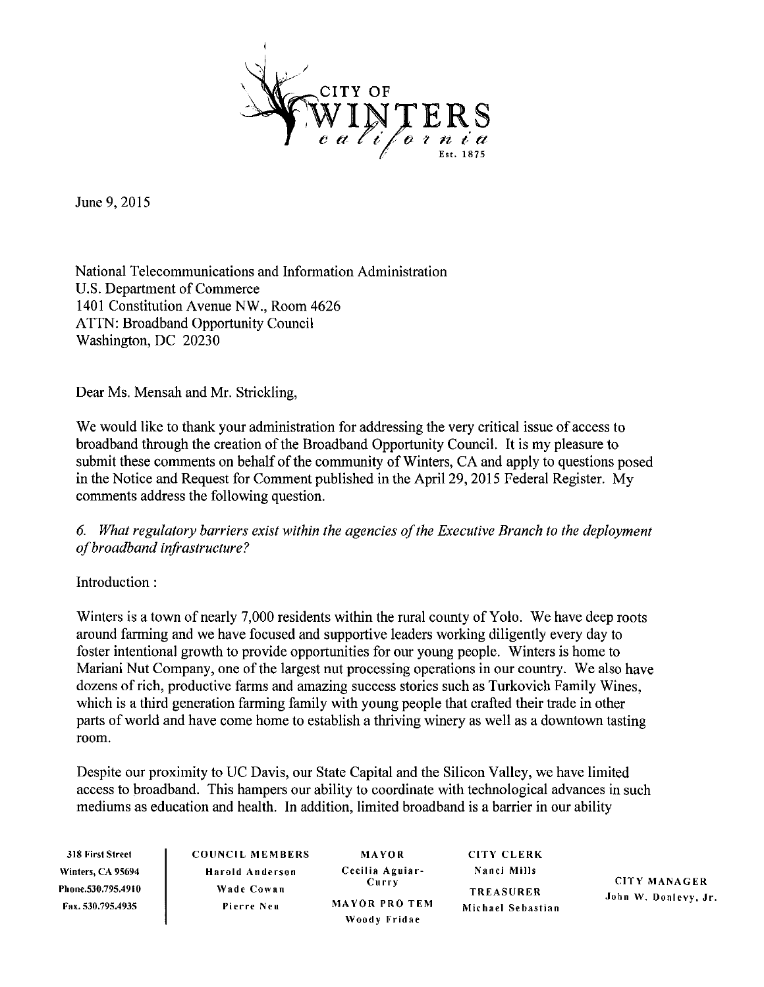

June 9, 2015

National Telecommunications and Information Administration U.S. Department of Commerce 1401 Constitution Avenue NW., Room 4626 **ATTN: Broadband Opportunity Council** Washington, DC 20230

Dear Ms. Mensah and Mr. Strickling,

We would like to thank your administration for addressing the very critical issue of access to broadband through the creation of the Broadband Opportunity Council. It is my pleasure to submit these comments on behalf of the community of Winters, CA and apply to questions posed in the Notice and Request for Comment published in the April 29, 2015 Federal Register. My comments address the following question.

## 6. What regulatory barriers exist within the agencies of the Executive Branch to the deployment of broadband infrastructure?

Introduction:

Winters is a town of nearly 7,000 residents within the rural county of Yolo. We have deep roots around farming and we have focused and supportive leaders working diligently every day to foster intentional growth to provide opportunities for our young people. Winters is home to Mariani Nut Company, one of the largest nut processing operations in our country. We also have dozens of rich, productive farms and amazing success stories such as Turkovich Family Wines. which is a third generation farming family with young people that crafted their trade in other parts of world and have come home to establish a thriving winery as well as a downtown tasting room.

Despite our proximity to UC Davis, our State Capital and the Silicon Valley, we have limited access to broadband. This hampers our ability to coordinate with technological advances in such mediums as education and health. In addition, limited broadband is a barrier in our ability

318 First Street Winters, CA 95694 Phone.530.795.4910 Fax. 530.795.4935

**COUNCIL MEMBERS** Harold Anderson Wade Cowan Pierre Neu

MAYOR Cecilia Aguiar-Curry **MAYOR PRO TEM** Woody Fridae

**CITY CLERK** Nanci Mills **TREASURER** Michael Sebastian

**CITY MANAGER** John W. Donlevy, Jr.